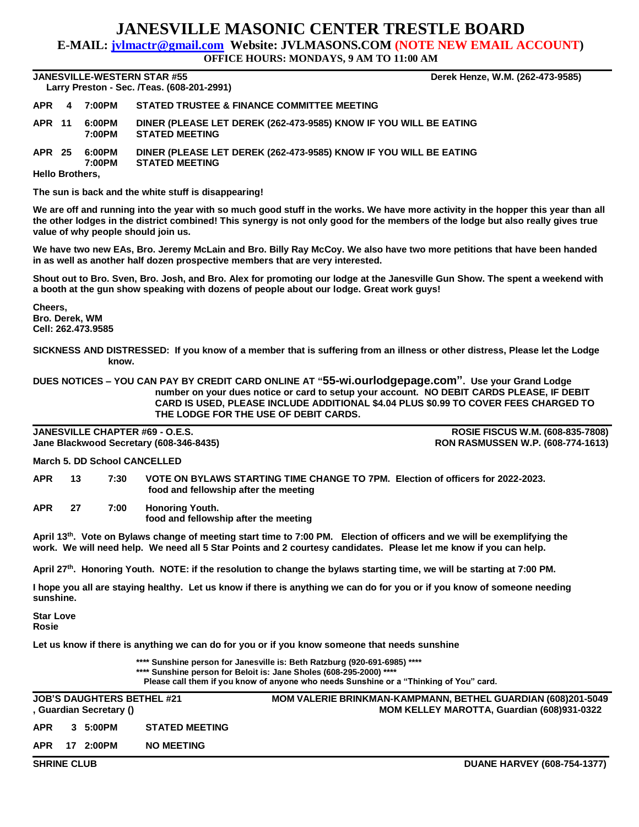## **JANESVILLE MASONIC CENTER TRESTLE BOARD**

**E-MAIL: jvlmactr@gmail.com Website: JVLMASONS.COM (NOTE NEW EMAIL ACCOUNT)**

**OFFICE HOURS: MONDAYS, 9 AM TO 11:00 AM**

**JANESVILLE-WESTERN STAR #55 Derek Henze, W.M. (262-473-9585) Larry Preston - Sec. /Teas. (608-201-2991)** 

| <b>Larry Freston - Sec. / Res. (000-201-2331)</b> |  |                         |                                                                                            |  |  |  |  |  |
|---------------------------------------------------|--|-------------------------|--------------------------------------------------------------------------------------------|--|--|--|--|--|
|                                                   |  | APR 4 7:00PM            | STATED TRUSTEE & FINANCE COMMITTEE MEETING                                                 |  |  |  |  |  |
| APR 11                                            |  | 6:00PM<br>7:00PM        | DINER (PLEASE LET DEREK (262-473-9585) KNOW IF YOU WILL BE EATING<br><b>STATED MEETING</b> |  |  |  |  |  |
|                                                   |  | APR 25 6:00PM<br>7:00PM | DINER (PLEASE LET DEREK (262-473-9585) KNOW IF YOU WILL BE EATING<br><b>STATED MEETING</b> |  |  |  |  |  |
| <b>Hello Brothers,</b>                            |  |                         |                                                                                            |  |  |  |  |  |

**The sun is back and the white stuff is disappearing!**

**We are off and running into the year with so much good stuff in the works. We have more activity in the hopper this year than all the other lodges in the district combined! This synergy is not only good for the members of the lodge but also really gives true value of why people should join us.**

**We have two new EAs, Bro. Jeremy McLain and Bro. Billy Ray McCoy. We also have two more petitions that have been handed in as well as another half dozen prospective members that are very interested.**

**Shout out to Bro. Sven, Bro. Josh, and Bro. Alex for promoting our lodge at the Janesville Gun Show. The spent a weekend with a booth at the gun show speaking with dozens of people about our lodge. Great work guys!**

**Cheers, Bro. Derek, WM Cell: 262.473.9585**

**SICKNESS AND DISTRESSED: If you know of a member that is suffering from an illness or other distress, Please let the Lodge know.**

**DUES NOTICES – YOU CAN PAY BY CREDIT CARD ONLINE AT "55-wi.ourlodgepage.com". Use your Grand Lodge number on your dues notice or card to setup your account. NO DEBIT CARDS PLEASE, IF DEBIT CARD IS USED, PLEASE INCLUDE ADDITIONAL \$4.04 PLUS \$0.99 TO COVER FEES CHARGED TO THE LODGE FOR THE USE OF DEBIT CARDS.**

**JANESVILLE CHAPTER #69 - O.E.S. ROSIE FISCUS W.M. (608-835-7808) Jane Blackwood Secretary (608-346-8435) RON RASMUSSEN W.P. (608-774-1613)**

**March 5. DD School CANCELLED**

**APR 13 7:30 VOTE ON BYLAWS STARTING TIME CHANGE TO 7PM. Election of officers for 2022-2023. food and fellowship after the meeting**

**APR 27 7:00 Honoring Youth. food and fellowship after the meeting**

**April 13th . Vote on Bylaws change of meeting start time to 7:00 PM. Election of officers and we will be exemplifying the work. We will need help. We need all 5 Star Points and 2 courtesy candidates. Please let me know if you can help.**

**April 27th . Honoring Youth. NOTE: if the resolution to change the bylaws starting time, we will be starting at 7:00 PM.**

**I hope you all are staying healthy. Let us know if there is anything we can do for you or if you know of someone needing sunshine.**

**Star Love Rosie**

**Let us know if there is anything we can do for you or if you know someone that needs sunshine**

**\*\*\*\* Sunshine person for Janesville is: Beth Ratzburg (920-691-6985) \*\*\*\* \*\*\*\* Sunshine person for Beloit is: Jane Sholes (608-295-2000) \*\*\*\* Please call them if you know of anyone who needs Sunshine or a "Thinking of You" card.**

|                    |  | , Guardian Secretary () | <b>JOB'S DAUGHTERS BETHEL #21</b> | <b>MOM VALERIE BRINKMAN-KAMPMANN, BETHEL GUARDIAN (608)201-5049</b><br>MOM KELLEY MAROTTA, Guardian (608)931-0322 |
|--------------------|--|-------------------------|-----------------------------------|-------------------------------------------------------------------------------------------------------------------|
| <b>APR</b>         |  | 3 5:00PM                | <b>STATED MEETING</b>             |                                                                                                                   |
| APR                |  |                         | <b>NO MEETING</b>                 |                                                                                                                   |
| <b>SHRINE CLUB</b> |  |                         |                                   | <b>DUANE HARVEY (608-754-1377)</b>                                                                                |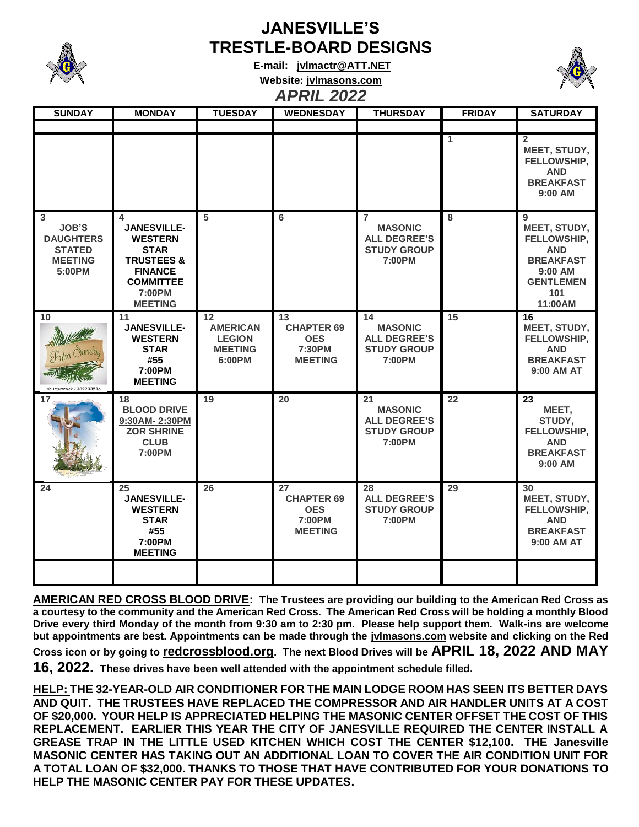

## **JANESVILLE'S TRESTLE-BOARD DESIGNS**

**E-mail: [jvlmactr@ATT.NET](mailto:jvlmactr@ATT.NET) Website: jvlmasons.com** *APRIL 2022*



| <b>SUNDAY</b>                                                                      | <b>MONDAY</b>                                                                                                                                       | <b>TUESDAY</b>                                                                    | <b>WEDNESDAY</b>                                                  | <b>THURSDAY</b>                                                                         | <b>FRIDAY</b> | <b>SATURDAY</b>                                                                                                       |
|------------------------------------------------------------------------------------|-----------------------------------------------------------------------------------------------------------------------------------------------------|-----------------------------------------------------------------------------------|-------------------------------------------------------------------|-----------------------------------------------------------------------------------------|---------------|-----------------------------------------------------------------------------------------------------------------------|
|                                                                                    |                                                                                                                                                     |                                                                                   |                                                                   |                                                                                         |               |                                                                                                                       |
|                                                                                    |                                                                                                                                                     |                                                                                   |                                                                   |                                                                                         | 1             | $\mathbf{2}$<br>MEET, STUDY,<br>FELLOWSHIP,<br><b>AND</b><br><b>BREAKFAST</b><br>9:00 AM                              |
| 3<br><b>JOB'S</b><br><b>DAUGHTERS</b><br><b>STATED</b><br><b>MEETING</b><br>5:00PM | 4<br><b>JANESVILLE-</b><br><b>WESTERN</b><br><b>STAR</b><br><b>TRUSTEES &amp;</b><br><b>FINANCE</b><br><b>COMMITTEE</b><br>7:00PM<br><b>MEETING</b> | 5                                                                                 | 6                                                                 | $\overline{7}$<br><b>MASONIC</b><br><b>ALL DEGREE'S</b><br><b>STUDY GROUP</b><br>7:00PM | 8             | 9<br>MEET, STUDY,<br>FELLOWSHIP,<br><b>AND</b><br><b>BREAKFAST</b><br>$9:00$ AM<br><b>GENTLEMEN</b><br>101<br>11:00AM |
| 10<br>shutterstock<br>38923351                                                     | 11<br><b>JANESVILLE-</b><br><b>WESTERN</b><br><b>STAR</b><br>#55<br>7:00PM<br><b>MEETING</b>                                                        | $12 \overline{ }$<br><b>AMERICAN</b><br><b>LEGION</b><br><b>MEETING</b><br>6:00PM | 13<br><b>CHAPTER 69</b><br><b>OES</b><br>7:30PM<br><b>MEETING</b> | 14<br><b>MASONIC</b><br><b>ALL DEGREE'S</b><br><b>STUDY GROUP</b><br>7:00PM             | 15            | 16<br>MEET, STUDY,<br>FELLOWSHIP,<br><b>AND</b><br><b>BREAKFAST</b><br>9:00 AM AT                                     |
| 17                                                                                 | 18<br><b>BLOOD DRIVE</b><br>9:30AM-2:30PM<br><b>ZOR SHRINE</b><br><b>CLUB</b><br>7:00PM                                                             | 19                                                                                | 20                                                                | 21<br><b>MASONIC</b><br><b>ALL DEGREE'S</b><br><b>STUDY GROUP</b><br>7:00PM             | 22            | 23<br>MEET,<br>STUDY,<br>FELLOWSHIP,<br><b>AND</b><br><b>BREAKFAST</b><br>9:00 AM                                     |
| 24                                                                                 | 25<br><b>JANESVILLE-</b><br><b>WESTERN</b><br><b>STAR</b><br>#55<br>7:00PM<br><b>MEETING</b>                                                        | 26                                                                                | 27<br><b>CHAPTER 69</b><br><b>OES</b><br>7:00PM<br><b>MEETING</b> | 28<br><b>ALL DEGREE'S</b><br><b>STUDY GROUP</b><br>7:00PM                               | 29            | 30<br>MEET, STUDY,<br>FELLOWSHIP,<br><b>AND</b><br><b>BREAKFAST</b><br>9:00 AM AT                                     |
|                                                                                    |                                                                                                                                                     |                                                                                   |                                                                   |                                                                                         |               |                                                                                                                       |

**AMERICAN RED CROSS BLOOD DRIVE: The Trustees are providing our building to the American Red Cross as a courtesy to the community and the American Red Cross. The American Red Cross will be holding a monthly Blood Drive every third Monday of the month from 9:30 am to 2:30 pm. Please help support them. Walk-ins are welcome but appointments are best. Appointments can be made through the jvlmasons.com website and clicking on the Red Cross icon or by going to redcrossblood.org. The next Blood Drives will be APRIL 18, 2022 AND MAY** 

**16, 2022. These drives have been well attended with the appointment schedule filled.**

**HELP: THE 32-YEAR-OLD AIR CONDITIONER FOR THE MAIN LODGE ROOM HAS SEEN ITS BETTER DAYS AND QUIT. THE TRUSTEES HAVE REPLACED THE COMPRESSOR AND AIR HANDLER UNITS AT A COST OF \$20,000. YOUR HELP IS APPRECIATED HELPING THE MASONIC CENTER OFFSET THE COST OF THIS REPLACEMENT. EARLIER THIS YEAR THE CITY OF JANESVILLE REQUIRED THE CENTER INSTALL A GREASE TRAP IN THE LITTLE USED KITCHEN WHICH COST THE CENTER \$12,100. THE Janesville MASONIC CENTER HAS TAKING OUT AN ADDITIONAL LOAN TO COVER THE AIR CONDITION UNIT FOR A TOTAL LOAN OF \$32,000. THANKS TO THOSE THAT HAVE CONTRIBUTED FOR YOUR DONATIONS TO HELP THE MASONIC CENTER PAY FOR THESE UPDATES.**